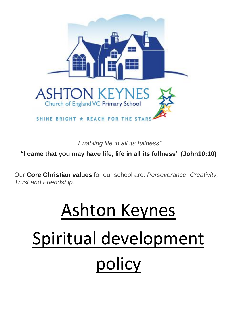

*"Enabling life in all its fullness"*

**"I came that you may have life, life in all its fullness" (John10:10)**

Our **Core Christian values** for our school are: *Perseverance, Creativity, Trust and Friendship*.

# Ashton Keynes Spiritual development policy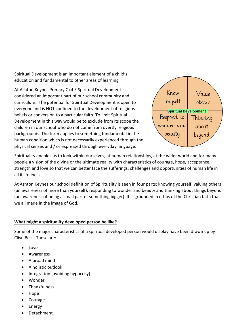Spiritual Development is an important element of a child's education and fundamental to other areas of learning

At Ashton Keynes Primary C of E Spiritual Development is considered an important part of our school community and curriculum. The potential for Spiritual Development is open to everyone and is NOT confined to the development of religious beliefs or conversion to a particular faith. To limit Spiritual Development in this way would be to exclude from its scope the children in our school who do not come from overtly religious backgrounds. The term applies to something fundamental in the human condition which is not necessarily experienced through the physical senses and / or expressed through everyday language.



Spirituality enables us to look within ourselves, at human relationships, at the wider world and for many people a vision of the divine or the ultimate reality with characteristics of courage, hope, acceptance, strength and love so that we can better face the sufferings, challenges and opportunities of human life in all its fullness.

At Ashton Keynes our school definition of Spirituality is seen in four parts: knowing yourself, valuing others (an awareness of more than yourself), responding to wonder and beauty and thinking about things beyond (an awareness of being a small part of something bigger). It is grounded in ethos of the Christian faith that we all made in the image of God.

# **What might a spirituality developed person be like?**

Some of the major characteristics of a spiritual developed person would display have been drawn up by Clive Beck. These are:

- Love
- Awareness
- A broad mind
- A holistic outlook
- Integration (avoiding hypocrisy)
- Wonder
- Thankfulness
- Hope
- Courage
- Energy
- Detachment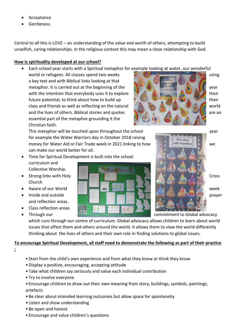- Acceptance
- Gentleness

Central to all this is LOVE – an understanding of the value and worth of others, attempting to build unselfish, caring relationships. In the religious context this may mean a close relationship with God.

# **How is spirituality developed at our school?**

- Each school year starts with a Spiritual metaphor for example looking at water, our wonderful
- world or refugees. All classes spend two weeks using the state of the state of the using a key text and with Biblical links looking at that metaphor. It is carried out at the beginning of the year year with the year with the intention that everybody uses it to explore the state of  $\mathbb{Z}$  in their future potential, to think about how to build up their their their class and friends as well as reflecting on the natural world and the lives of others. Biblical stories and quotes and  $\mathcal{L}$  and  $\mathcal{L}$  are an essential part of the metaphor grounding it the Christian faith.

This metaphor will be touched upon throughout the school year for example the Water Warriors day in October 2018 raising money for Water Aid or Fair Trade week in 2021 linking to how we wails together can make our world better for all.

- Time for Spiritual Development is built into the school curriculum and Collective Worship.
- Church
- 
- and reflection areas.
- Class reflection areas
- 







• Through our commitment to Global advocacy

which runs through our centre of curriculum. Global advocacy allows children to learn about world issues that affect them and others around the world. It allows them to view the world differently thinking about the lives of others and their own role in finding solutions to global issues.

# **To encourage Spiritual Development, all staff need to demonstrate the following as part of their practice**

**:**

- Start from the child's own experience and from what they know or think they know
- •Display a positive, encouraging, accepting attitude
- Take what children say seriously and value each individual contribution
- Try to involve everyone
- Encourage children to draw out their own meaning from story, buildings, symbols, paintings, artefacts
- Be clear about intended learning outcomes but allow space for spontaneity
- Listen and show understanding
- Be open and honest
- Encourage and value children's questions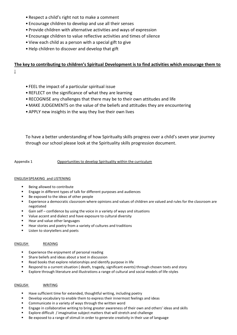- Respect a child's right not to make a comment
- Encourage children to develop and use all their senses
- Provide children with alternative activities and ways of expression
- Encourage children to value reflective activities and times of silence
- View each child as a person with a special gift to give
- •Help children to discover and develop that gift

## **The key to contributing to children's Spiritual Development is to find activities which encourage them to**

**:**

- FEEL the impact of a particular spiritual issue
- REFLECT on the significance of what they are learning
- RECOGNISE any challenges that there may be to their own attitudes and life
- MAKE JUDGEMENTS on the value of the beliefs and attitudes they are encountering
- •APPLY new insights in the way they live their own lives

To have a better understanding of how Spiritualty skills progress over a child's seven year journey through our school please look at the Spirituality skills progression document.

Appendix 1 Opportunities to develop Spirituality within the curriculum

## ENGLISHSPEAKING and LISTENING

- Being allowed to contribute
- Engage in different types of talk for different purposes and audiences
- Be exposed to the ideas of other people
- Experience a democratic classroom where opinions and values of children are valued and rules for the classroom are negotiated
- Gain self confidence by using the voice in a variety of ways and situations
- Value accent and dialect and have exposure to cultural diversity
- Hear and value other languages
- Hear stories and poetry from a variety of cultures and traditions
- **EXECUTE:** Listen to storytellers and poets

#### ENGLISH READING

- Experience the enjoyment of personal reading
- Share beliefs and ideas about a text in discussion
- Read books that explore relationships and identify purpose in life
- Respond to a current situation ( death, tragedy, significant events) through chosen texts and story
- Explore through literature and illustrations a range of cultural and social models of life-styles

#### ENGLISH WRITING

- Have sufficient time for extended, thoughtful writing, including poetry
- Develop vocabulary to enable them to express their innermost feelings and ideas
- Communicate in a variety of ways through the written word
- Engage in collaborative writing to bring greater awareness of their own and others' ideas and skills
- Explore difficult / imaginative subject matters that will stretch and challenge
- Be exposed to a range of stimuli in order to generate creativity in their use of language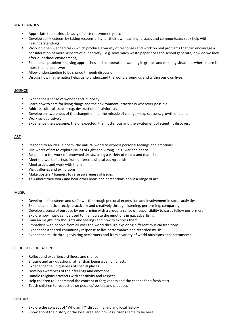#### MATHEMATICS

- Appreciate the intrinsic beauty of pattern, symmetry, etc.
- Develop self esteem by taking responsibility for their own learning, discuss and communicate, seek help with misunderstandings
- Work on open ended tasks which produce a variety of responses and work on real problems that can encourage a consideration of moral aspects of our society – e.g. how much waste paper does the school generate, how do we look after our school environment,
- Experience problem solving approaches and co-operation, working in groups and meeting situations where there is more than one answer
- Allow understanding to be shared through discussion
- Discuss how mathematics helps us to understand the world around us and within our own lives

#### **SCIENCE**

- **Experience a sense of wonder and curiosity**
- Learn how to care for living things and the environment, practically wherever possible
- Address cultural issues e.g. destruction of rainforests
- Develop an awareness of the changes of life, the miracle of change  $-e.g.$  seasons, growth of plants
- Work co-operatively
- Experience the awesome, the unexpected, the mysterious and the excitement of scientific discovery

#### ART

- Respond to an idea, a poem, the natural world to express personal feelings and emotions
- Use works of art to explore issues of right and wrong e.g. war and peace
- Respond to the work of renowned artists, using a variety of media and materials
- Meet the work of artists from different cultural backgrounds
- Meet artists and work with them
- Visit galleries and exhibitions
- Make posters / banners to raise awareness of issues
- **Talk about their work and hear other ideas and perceptions about a range of art**

#### **MUSIC**

- Develop self esteem and self worth through personal expression and involvement in social activities
- Experience music directly, practically and creatively through listening, performing, comparing
- Develop a sense of purpose by performing with a group, a sense of responsibility towards fellow performers
- Explore how music can be used to manipulate the emotions in e.g. advertising
- Gain an insight into thoughts and feelings and how to express them
- Empathise with people from all over the world through exploring different musical traditions
- Experience a shared community response to live performance and recorded music
- Experience music through visiting performers and from a variety of world musicians and instruments

#### RELIGIOUS EDUCATION

- Reflect and experience stillness and silence
- **Enquire and ask questions rather than being given only facts**
- Experience the uniqueness of special places
- Develop awareness of their feelings and emotions
- Handle religious artefacts with sensitivity and respect
- Help children to understand the concept of forgiveness and the chance for a fresh start
- Teach children to respect other peoples' beliefs and practices

#### **HISTORY**

- Explore the concept of "Who am I?" through family and local history
- Know about the history of the local area and how its citizens came to be here